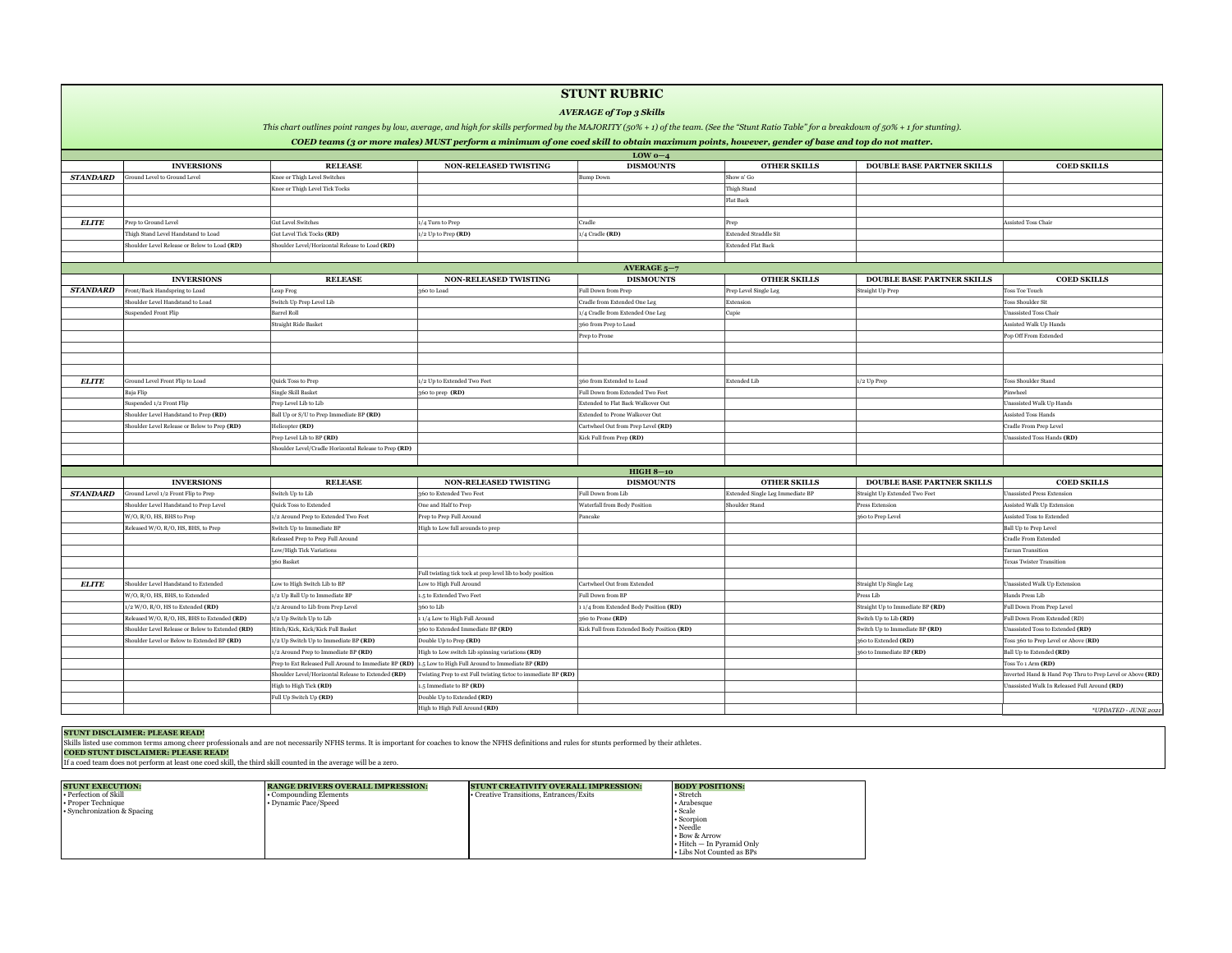|              |                                                  |                                                                                                                |                                                                | LOW $0-4$                                    |                                  |                                   |                                                |
|--------------|--------------------------------------------------|----------------------------------------------------------------------------------------------------------------|----------------------------------------------------------------|----------------------------------------------|----------------------------------|-----------------------------------|------------------------------------------------|
|              | <b>INVERSIONS</b>                                | <b>RELEASE</b>                                                                                                 | <b>NON-RELEASED TWISTING</b>                                   | <b>DISMOUNTS</b>                             | <b>OTHER SKILLS</b>              | <b>DOUBLE BASE PARTNER SKILLS</b> | <b>COED SKILLS</b>                             |
| STANDARD     | <b>Ground Level to Ground Level</b>              | Knee or Thigh Level Switches                                                                                   |                                                                | <b>Bump Down</b>                             | Show n' Go                       |                                   |                                                |
|              |                                                  | Knee or Thigh Level Tick Tocks                                                                                 |                                                                |                                              | Thigh Stand                      |                                   |                                                |
|              |                                                  |                                                                                                                |                                                                |                                              | Flat Back                        |                                   |                                                |
|              |                                                  |                                                                                                                |                                                                |                                              |                                  |                                   |                                                |
| <b>ELITE</b> | Prep to Ground Level                             | <b>Gut Level Switches</b>                                                                                      | 1/4 Turn to Prep                                               | Cradle                                       | Prep                             |                                   | Assisted Toss Chair                            |
|              | Thigh Stand Level Handstand to Load              | Gut Level Tick Tocks (RD)                                                                                      | $ 1/2$ Up to Prep (RD)                                         | $\vert$ 1/4 Cradle (RD)                      | <b>Extended Straddle Sit</b>     |                                   |                                                |
|              | Shoulder Level Release or Below to Load (RD)     | Shoulder Level/Horizontal Release to Load (RD)                                                                 |                                                                |                                              | <b>Extended Flat Back</b>        |                                   |                                                |
|              |                                                  |                                                                                                                |                                                                |                                              |                                  |                                   |                                                |
|              |                                                  |                                                                                                                |                                                                | AVERAGE $5-7$                                |                                  |                                   |                                                |
|              | <b>INVERSIONS</b>                                | <b>RELEASE</b>                                                                                                 | <b>NON-RELEASED TWISTING</b>                                   | <b>DISMOUNTS</b>                             | <b>OTHER SKILLS</b>              | <b>DOUBLE BASE PARTNER SKILLS</b> | <b>COED SKILLS</b>                             |
| STANDARD     | Front/Back Handspring to Load                    | Leap Frog                                                                                                      | $360$ to Load                                                  | <b>Full Down from Prep</b>                   | Prep Level Single Leg            | Straight Up Prep                  | <b>Toss Toe Touch</b>                          |
|              | Shoulder Level Handstand to Load                 | Switch Up Prep Level Lib                                                                                       |                                                                | Cradle from Extended One Leg                 | Extension                        |                                   | <b>Toss Shoulder Sit</b>                       |
|              | Suspended Front Flip                             | <b>Barrel Roll</b>                                                                                             |                                                                | 1/4 Cradle from Extended One Leg             | Cupie                            |                                   | Unassisted Toss Chair                          |
|              |                                                  | Straight Ride Basket                                                                                           |                                                                | 360 from Prep to Load                        |                                  |                                   | Assisted Walk Up Hands                         |
|              |                                                  |                                                                                                                |                                                                | <b>Prep to Prone</b>                         |                                  |                                   | Pop Off From Extended                          |
|              |                                                  |                                                                                                                |                                                                |                                              |                                  |                                   |                                                |
|              |                                                  |                                                                                                                |                                                                |                                              |                                  |                                   |                                                |
|              |                                                  |                                                                                                                |                                                                |                                              |                                  |                                   |                                                |
| <b>ELITE</b> | Ground Level Front Flip to Load                  | Quick Toss to Prep                                                                                             | 1/2 Up to Extended Two Feet                                    | 360 from Extended to Load                    | Extended Lib                     | $ 1/2$ Up Prep                    | Toss Shoulder Stand                            |
|              | Baja Flip                                        | Single Skill Basket                                                                                            | 360 to prep $(RD)$                                             | Full Down from Extended Two Feet             |                                  |                                   | Pinwheel                                       |
|              | Suspended 1/2 Front Flip                         | Prep Level Lib to Lib                                                                                          |                                                                | <b>Extended to Flat Back Walkover Out</b>    |                                  |                                   | <b>Unassisted Walk Up Hands</b>                |
|              | Shoulder Level Handstand to Prep (RD)            | Ball Up or S/U to Prep Immediate BP (RD)                                                                       |                                                                | <b>Extended to Prone Walkover Out</b>        |                                  |                                   | <b>Assisted Toss Hands</b>                     |
|              | Shoulder Level Release or Below to Prep (RD)     | Helicopter (RD)                                                                                                |                                                                | Cartwheel Out from Prep Level (RD)           |                                  |                                   | Cradle From Prep Level                         |
|              |                                                  | Prep Level Lib to BP (RD)                                                                                      |                                                                | Kick Full from Prep $(RD)$                   |                                  |                                   | Unassisted Toss Hands (RD)                     |
|              |                                                  | Shoulder Level/Cradle Horizontal Release to Prep (RD)                                                          |                                                                |                                              |                                  |                                   |                                                |
|              |                                                  |                                                                                                                |                                                                |                                              |                                  |                                   |                                                |
|              |                                                  |                                                                                                                |                                                                | $HIGH 8-10$                                  |                                  |                                   |                                                |
|              | <b>INVERSIONS</b>                                | <b>RELEASE</b>                                                                                                 | <b>NON-RELEASED TWISTING</b>                                   | <b>DISMOUNTS</b>                             | <b>OTHER SKILLS</b>              | <b>DOUBLE BASE PARTNER SKILLS</b> | <b>COED SKILLS</b>                             |
| STANDARD     | Ground Level 1/2 Front Flip to Prep              | Switch Up to Lib                                                                                               | 360 to Extended Two Feet                                       | <b>Full Down from Lib</b>                    | Extended Single Leg Immediate BP | Straight Up Extended Two Feet     | Unassisted Press Extension                     |
|              | Shoulder Level Handstand to Prep Level           | Quick Toss to Extended                                                                                         | One and Half to Prep                                           | <b>Waterfall from Body Position</b>          | Shoulder Stand                   | <b>Press Extension</b>            | Assisted Walk Up Extension                     |
|              | W/O, R/O, HS, BHS to Prep                        | 1/2 Around Prep to Extended Two Feet                                                                           | Prep to Prep Full Around                                       | Pancake                                      |                                  | $360$ to Prep Level               | Assisted Toss to Extended                      |
|              | Released W/O, R/O, HS, BHS, to Prep              | Switch Up to Immediate BP                                                                                      | High to Low full arounds to prep                               |                                              |                                  |                                   | Ball Up to Prep Level                          |
|              |                                                  | Released Prep to Prep Full Around                                                                              |                                                                |                                              |                                  |                                   | <b>Cradle From Extended</b>                    |
|              |                                                  | Low/High Tick Variations                                                                                       |                                                                |                                              |                                  |                                   | <b>Tarzan Transition</b>                       |
|              |                                                  | $360$ Basket                                                                                                   |                                                                |                                              |                                  |                                   | <b>Texas Twister Transition</b>                |
|              |                                                  |                                                                                                                | Full twisting tick tock at prep level lib to body position     |                                              |                                  |                                   |                                                |
| <b>ELITE</b> | Shoulder Level Handstand to Extended             | Low to High Switch Lib to BP                                                                                   | Low to High Full Around                                        | Cartwheel Out from Extended                  |                                  | Straight Up Single Leg            | Unassisted Walk Up Extension                   |
|              | W/O, R/O, HS, BHS, to Extended                   | 1/2 Up Ball Up to Immediate BP                                                                                 | 1.5 to Extended Two Feet                                       | <b>Full Down from BP</b>                     |                                  | Press Lib                         | Hands Press Lib                                |
|              | $1/2$ W/O, R/O, HS to Extended (RD)              | $1/2$ Around to Lib from Prep Level                                                                            | $360$ to Lib                                                   | $\vert$ 1/4 from Extended Body Position (RD) |                                  | Straight Up to Immediate BP (RD)  | Full Down From Prep Level                      |
|              | Released W/O, R/O, HS, BHS to Extended (RD)      | $\vert$ 1/2 Up Switch Up to Lib                                                                                | 11/4 Low to High Full Around                                   | $360$ to Prone (RD)                          |                                  | Switch Up to Lib $(RD)$           | Full Down From Extended (RD)                   |
|              | Shoulder Level Release or Below to Extended (RD) | Hitch/Kick, Kick/Kick Full Basket                                                                              | 360 to Extended Immediate BP $(RD)$                            | Kick Full from Extended Body Position $(RD)$ |                                  | Switch Up to Immediate BP $(RD)$  | Unassisted Toss to Extended (RD)               |
|              | Shoulder Level or Below to Extended BP (RD)      | $\vert$ 1/2 Up Switch Up to Immediate BP (RD)                                                                  | Double Up to Prep $(RD)$                                       |                                              |                                  | 360 to Extended $(RD)$            | Toss 360 to Prep Level or Above (RD)           |
|              |                                                  | $1/2$ Around Prep to Immediate BP (RD)                                                                         | $\vert$ High to Low switch Lib spinning variations (RD)        |                                              |                                  | $360$ to Immediate BP (RD)        | Ball Up to Extended <b>(RD)</b>                |
|              |                                                  | Prep to Ext Released Full Around to Immediate BP (RD) $\vert$ 1.5 Low to High Full Around to Immediate BP (RD) |                                                                |                                              |                                  |                                   | Toss To 1 Arm (RD)                             |
|              |                                                  | Shoulder Level/Horizontal Release to Extended (RD)                                                             | Twisting Prep to ext Full twisting tictoc to immediate BP (RD) |                                              |                                  |                                   | Inverted Hand & Hand Pop Thru to Prep Level or |
|              |                                                  | High to High Tick $(RD)$                                                                                       | $\vert$ 1.5 Immediate to BP (RD)                               |                                              |                                  |                                   | Unassisted Walk In Released Full Around (RD)   |

# $\log$  Off From Extended

|              | <b>AVERAGE of Top 3 Skills</b>                   |                                                       |                                                                                                                                                                                               |                                            |                                  |                                   |                                                           |
|--------------|--------------------------------------------------|-------------------------------------------------------|-----------------------------------------------------------------------------------------------------------------------------------------------------------------------------------------------|--------------------------------------------|----------------------------------|-----------------------------------|-----------------------------------------------------------|
|              |                                                  |                                                       | This chart outlines point ranges by low, average, and high for skills performed by the MAJORITY (50% + 1) of the team. (See the "Stunt Ratio Table" for a breakdown of 50% + 1 for stunting). |                                            |                                  |                                   |                                                           |
|              |                                                  |                                                       | COED teams (3 or more males) MUST perform a minimum of one coed skill to obtain maximum points, however, gender of base and top do not matter.                                                |                                            |                                  |                                   |                                                           |
|              |                                                  |                                                       |                                                                                                                                                                                               | LOW $0-4$                                  |                                  |                                   |                                                           |
|              | <b>INVERSIONS</b>                                | <b>RELEASE</b>                                        | <b>NON-RELEASED TWISTING</b>                                                                                                                                                                  | <b>DISMOUNTS</b>                           | <b>OTHER SKILLS</b>              | <b>DOUBLE BASE PARTNER SKILLS</b> | <b>COED SKILLS</b>                                        |
| STANDARD     | Ground Level to Ground Level                     | Knee or Thigh Level Switches                          |                                                                                                                                                                                               | Bump Down                                  | Show n' Go                       |                                   |                                                           |
|              |                                                  | Knee or Thigh Level Tick Tocks                        |                                                                                                                                                                                               |                                            | Thigh Stand                      |                                   |                                                           |
|              |                                                  |                                                       |                                                                                                                                                                                               |                                            | Flat Back                        |                                   |                                                           |
|              |                                                  |                                                       |                                                                                                                                                                                               |                                            |                                  |                                   |                                                           |
| <b>ELITE</b> | Prep to Ground Level                             | <b>Gut Level Switches</b>                             | $1/4$ Turn to Prep                                                                                                                                                                            | Cradle                                     |                                  |                                   | Assisted Toss Chair                                       |
|              | Thigh Stand Level Handstand to Load              | Gut Level Tick Tocks (RD)                             | $1/2$ Up to Prep $(RD)$                                                                                                                                                                       | $1/4$ Cradle $(RD)$                        | <b>Extended Straddle Sit</b>     |                                   |                                                           |
|              | Shoulder Level Release or Below to Load (RD)     | Shoulder Level/Horizontal Release to Load (RD)        |                                                                                                                                                                                               |                                            | <b>Extended Flat Back</b>        |                                   |                                                           |
|              |                                                  |                                                       |                                                                                                                                                                                               |                                            |                                  |                                   |                                                           |
|              |                                                  |                                                       |                                                                                                                                                                                               | AVERAGE $5-7$                              |                                  |                                   |                                                           |
|              | <b>INVERSIONS</b>                                | <b>RELEASE</b>                                        | <b>NON-RELEASED TWISTING</b>                                                                                                                                                                  | <b>DISMOUNTS</b>                           | <b>OTHER SKILLS</b>              | <b>DOUBLE BASE PARTNER SKILLS</b> | <b>COED SKILLS</b>                                        |
| STANDARD     | Front/Back Handspring to Load                    | Leap Frog                                             | $360$ to Load                                                                                                                                                                                 | <b>Full Down from Prep</b>                 | Prep Level Single Leg            | Straight Up Prep                  | Toss Toe Touch                                            |
|              | Shoulder Level Handstand to Load                 | Switch Up Prep Level Lib                              |                                                                                                                                                                                               | Cradle from Extended One Leg               | Extension                        |                                   | <b>Toss Shoulder Sit</b>                                  |
|              | Suspended Front Flip                             | <b>Barrel Roll</b>                                    |                                                                                                                                                                                               | 1/4 Cradle from Extended One Leg           | Cupie                            |                                   | Unassisted Toss Chair                                     |
|              |                                                  | Straight Ride Basket                                  |                                                                                                                                                                                               | 360 from Prep to Load                      |                                  |                                   | Assisted Walk Up Hands                                    |
|              |                                                  |                                                       |                                                                                                                                                                                               | Prep to Prone                              |                                  |                                   | Pop Off From Extended                                     |
|              |                                                  |                                                       |                                                                                                                                                                                               |                                            |                                  |                                   |                                                           |
|              |                                                  |                                                       |                                                                                                                                                                                               |                                            |                                  |                                   |                                                           |
|              |                                                  |                                                       |                                                                                                                                                                                               |                                            |                                  |                                   |                                                           |
| <b>ELITE</b> | Ground Level Front Flip to Load                  | Quick Toss to Prep                                    | 1/2 Up to Extended Two Feet                                                                                                                                                                   | 360 from Extended to Load                  | Extended Lib                     | $ 1/2$ Up Prep                    | Toss Shoulder Stand                                       |
|              | Baja Flip                                        | Single Skill Basket                                   | 360 to prep $(RD)$                                                                                                                                                                            | Full Down from Extended Two Feet           |                                  |                                   | Pinwheel                                                  |
|              | Suspended 1/2 Front Flip                         | Prep Level Lib to Lib                                 |                                                                                                                                                                                               | <b>Extended to Flat Back Walkover Out</b>  |                                  |                                   | Unassisted Walk Up Hands                                  |
|              | Shoulder Level Handstand to Prep (RD)            | Ball Up or S/U to Prep Immediate BP (RD)              |                                                                                                                                                                                               | <b>Extended to Prone Walkover Out</b>      |                                  |                                   | Assisted Toss Hands                                       |
|              | Shoulder Level Release or Below to Prep (RD)     | Helicopter (RD)                                       |                                                                                                                                                                                               | Cartwheel Out from Prep Level (RD)         |                                  |                                   | Cradle From Prep Level                                    |
|              |                                                  | Prep Level Lib to BP (RD)                             |                                                                                                                                                                                               | Kick Full from Prep <b>(RD)</b>            |                                  |                                   | Unassisted Toss Hands (RD)                                |
|              |                                                  | Shoulder Level/Cradle Horizontal Release to Prep (RD) |                                                                                                                                                                                               |                                            |                                  |                                   |                                                           |
|              |                                                  |                                                       |                                                                                                                                                                                               |                                            |                                  |                                   |                                                           |
|              |                                                  |                                                       |                                                                                                                                                                                               | $HIGH 8-10$                                |                                  |                                   |                                                           |
|              | <b>INVERSIONS</b>                                | <b>RELEASE</b>                                        | <b>NON-RELEASED TWISTING</b>                                                                                                                                                                  | <b>DISMOUNTS</b>                           | <b>OTHER SKILLS</b>              | <b>DOUBLE BASE PARTNER SKILLS</b> | <b>COED SKILLS</b>                                        |
| STANDARD     | Ground Level 1/2 Front Flip to Prep              | Switch Up to Lib                                      | 360 to Extended Two Feet                                                                                                                                                                      | Full Down from Lib                         | Extended Single Leg Immediate BP | Straight Up Extended Two Feet     | <b>Unassisted Press Extension</b>                         |
|              | Shoulder Level Handstand to Prep Level           | <b>Quick Toss to Extended</b>                         | One and Half to Prep                                                                                                                                                                          | Waterfall from Body Position               | Shoulder Stand                   | Press Extension                   | <b>Assisted Walk Up Extension</b>                         |
|              | W/O, R/O, HS, BHS to Prep                        | 1/2 Around Prep to Extended Two Feet                  | Prep to Prep Full Around                                                                                                                                                                      | Pancake                                    |                                  | 360 to Prep Level                 | Assisted Toss to Extended                                 |
|              | Released W/O, R/O, HS, BHS, to Prep              | Switch Up to Immediate BP                             | High to Low full arounds to prep                                                                                                                                                              |                                            |                                  |                                   | Ball Up to Prep Level                                     |
|              |                                                  | Released Prep to Prep Full Around                     |                                                                                                                                                                                               |                                            |                                  |                                   | Cradle From Extended                                      |
|              |                                                  | Low/High Tick Variations                              |                                                                                                                                                                                               |                                            |                                  |                                   | Tarzan Transition                                         |
|              |                                                  | 360 Basket                                            |                                                                                                                                                                                               |                                            |                                  |                                   | <b>Texas Twister Transition</b>                           |
|              |                                                  |                                                       | Full twisting tick tock at prep level lib to body position                                                                                                                                    |                                            |                                  |                                   |                                                           |
| <b>ELITE</b> | Shoulder Level Handstand to Extended             | Low to High Switch Lib to BP                          | Low to High Full Around                                                                                                                                                                       | Cartwheel Out from Extended                |                                  | Straight Up Single Leg            | Unassisted Walk Up Extension                              |
|              | $W/O$ , R/O, HS, BHS, to Extended                | 1/2 Up Ball Up to Immediate BP                        | 1.5 to Extended Two Feet                                                                                                                                                                      | Full Down from BP                          |                                  | Press Lib                         | Hands Press Lib                                           |
|              | $1/2$ W/O, R/O, HS to Extended (RD)              | 1/2 Around to Lib from Prep Level                     | 360 to Lib                                                                                                                                                                                    | 11/4 from Extended Body Position (RD)      |                                  | Straight Up to Immediate BP (RD)  | Full Down From Prep Level                                 |
|              | Released W/O, R/O, HS, BHS to Extended (RD)      | $1/2$ Up Switch Up to Lib                             | 11/4 Low to High Full Around                                                                                                                                                                  | 360 to Prone $(RD)$                        |                                  | Switch Up to Lib $(RD)$           | Full Down From Extended (RD)                              |
|              | Shoulder Level Release or Below to Extended (RD) | Hitch/Kick, Kick/Kick Full Basket                     | 360 to Extended Immediate BP (RD)                                                                                                                                                             | Kick Full from Extended Body Position (RD) |                                  | Switch Up to Immediate BP $(RD)$  | Unassisted Toss to Extended <b>(RD)</b>                   |
|              | Shoulder Level or Below to Extended BP (RD)      | $1/2$ Up Switch Up to Immediate BP $(RD)$             | Double Up to Prep (RD)                                                                                                                                                                        |                                            |                                  | $360$ to Extended (RD)            | Toss 360 to Prep Level or Above ( <b>RD)</b>              |
|              |                                                  | $1/2$ Around Prep to Immediate BP (RD)                | High to Low switch Lib spinning variations (RD)                                                                                                                                               |                                            |                                  | $360$ to Immediate BP (RD)        | <b>Ball Up to Extended (RD)</b>                           |
|              |                                                  |                                                       | Prep to Ext Released Full Around to Immediate BP (RD) $\vert$ 1.5 Low to High Full Around to Immediate BP (RD)                                                                                |                                            |                                  |                                   | Toss To 1 Arm (RD)                                        |
|              |                                                  | Shoulder Level/Horizontal Release to Extended (RD)    | Twisting Prep to ext Full twisting tictoc to immediate BP (RD)                                                                                                                                |                                            |                                  |                                   | Inverted Hand & Hand Pop Thru to Prep Level or Above (RD) |
|              |                                                  | High to High Tick (RD)                                | 1.5 Immediate to BP (RD)                                                                                                                                                                      |                                            |                                  |                                   | Unassisted Walk In Released Full Around (RD)              |
|              |                                                  | Full Up Switch Up (RD)                                | Double Up to Extended (RD)                                                                                                                                                                    |                                            |                                  |                                   |                                                           |
|              |                                                  |                                                       | High to High Full Around (RD)                                                                                                                                                                 |                                            |                                  |                                   | *UPDATED - JUNE 2021                                      |
|              |                                                  |                                                       |                                                                                                                                                                                               |                                            |                                  |                                   |                                                           |

Skills listed use common terms among cheer professionals and are not necessarily NFHS terms. It is important for coaches to know the NFHS definitions and rules for stunts performed by their athletes. **COED STUNT DISCLAIMER: PLEASE READ!** 

## **STUNT DISCLAIMER: PLEASE READ!**

If a coed team does not perform at least one coed skill, the third skill counted in the average will be a zero.

# **STUNT RUBRIC**

# *AVERAGE of Top 3 Skills*

| <b>STUNT EXECUTION:</b><br><b>.</b> Perfection of Skill<br>$\cdot$ Proper Technique<br>$\cdot$ Synchronization & Spacing | <b>RANGE DRIVERS OVERALL IMPRESSION:</b><br>• Compounding Elements<br>• Dynamic Pace/Speed | <b>STUNT CREATIVITY OVERALL IMPRESSION:</b><br>• Creative Transitions, Entrances/Exits | <b>BODY POSITIONS:</b><br>• Stretch<br>• Arabesque<br>• Scale<br>• Scorpion<br>• Needle<br>• Bow & Arrow |
|--------------------------------------------------------------------------------------------------------------------------|--------------------------------------------------------------------------------------------|----------------------------------------------------------------------------------------|----------------------------------------------------------------------------------------------------------|
|                                                                                                                          |                                                                                            |                                                                                        | $\cdot$ Hitch — In Pyramid Only<br>• Libs Not Counted as BPs                                             |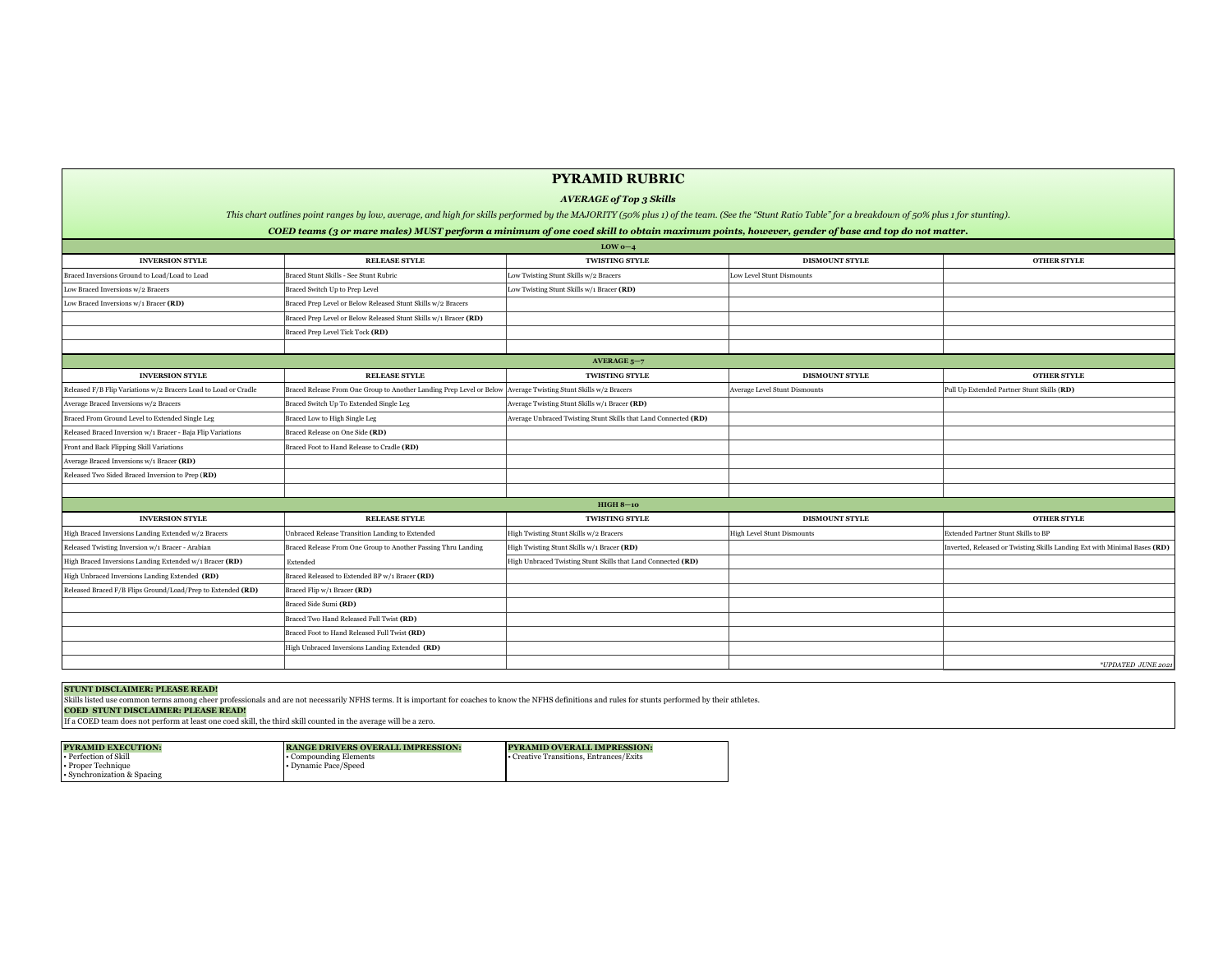|                                                                 |                                                                                                                | LOW $0-4$                                                       |                                      |                                                                           |
|-----------------------------------------------------------------|----------------------------------------------------------------------------------------------------------------|-----------------------------------------------------------------|--------------------------------------|---------------------------------------------------------------------------|
| <b>INVERSION STYLE</b>                                          | <b>RELEASE STYLE</b>                                                                                           | <b>TWISTING STYLE</b>                                           | <b>DISMOUNT STYLE</b>                | <b>OTHER STYLE</b>                                                        |
| Braced Inversions Ground to Load/Load to Load                   | Braced Stunt Skills - See Stunt Rubric                                                                         | Low Twisting Stunt Skills w/2 Bracers                           | Low Level Stunt Dismounts            |                                                                           |
| Low Braced Inversions w/2 Bracers                               | Braced Switch Up to Prep Level                                                                                 | Low Twisting Stunt Skills $w/1$ Bracer (RD)                     |                                      |                                                                           |
| Low Braced Inversions $w/1$ Bracer $(RD)$                       | Braced Prep Level or Below Released Stunt Skills w/2 Bracers                                                   |                                                                 |                                      |                                                                           |
|                                                                 | Braced Prep Level or Below Released Stunt Skills w/1 Bracer (RD)                                               |                                                                 |                                      |                                                                           |
|                                                                 | Braced Prep Level Tick Tock (RD)                                                                               |                                                                 |                                      |                                                                           |
|                                                                 |                                                                                                                |                                                                 |                                      |                                                                           |
|                                                                 |                                                                                                                | AVERAGE $5-7$                                                   |                                      |                                                                           |
| <b>INVERSION STYLE</b>                                          | <b>RELEASE STYLE</b>                                                                                           | <b>TWISTING STYLE</b>                                           | <b>DISMOUNT STYLE</b>                | <b>OTHER STYLE</b>                                                        |
| Released F/B Flip Variations w/2 Bracers Load to Load or Cradle | Braced Release From One Group to Another Landing Prep Level or Below Average Twisting Stunt Skills w/2 Bracers |                                                                 | <b>Average Level Stunt Dismounts</b> | Pull Up Extended Partner Stunt Skills (RD)                                |
| Average Braced Inversions w/2 Bracers                           | Braced Switch Up To Extended Single Leg                                                                        | Average Twisting Stunt Skills $w/1$ Bracer (RD)                 |                                      |                                                                           |
| Braced From Ground Level to Extended Single Leg                 | Braced Low to High Single Leg                                                                                  | Average Unbraced Twisting Stunt Skills that Land Connected (RD) |                                      |                                                                           |
| Released Braced Inversion w/1 Bracer - Baja Flip Variations     | Braced Release on One Side (RD)                                                                                |                                                                 |                                      |                                                                           |
| Front and Back Flipping Skill Variations                        | Braced Foot to Hand Release to Cradle (RD)                                                                     |                                                                 |                                      |                                                                           |
| Average Braced Inversions w/1 Bracer (RD)                       |                                                                                                                |                                                                 |                                      |                                                                           |
| Released Two Sided Braced Inversion to Prep (RD)                |                                                                                                                |                                                                 |                                      |                                                                           |
|                                                                 |                                                                                                                |                                                                 |                                      |                                                                           |
|                                                                 |                                                                                                                | $HIGH 8-10$                                                     |                                      |                                                                           |
| <b>INVERSION STYLE</b>                                          | <b>RELEASE STYLE</b>                                                                                           | <b>TWISTING STYLE</b>                                           | <b>DISMOUNT STYLE</b>                | <b>OTHER STYLE</b>                                                        |
| High Braced Inversions Landing Extended w/2 Bracers             | Unbraced Release Transition Landing to Extended                                                                | High Twisting Stunt Skills w/2 Bracers                          | <b>High Level Stunt Dismounts</b>    | Extended Partner Stunt Skills to BP                                       |
| Released Twisting Inversion w/1 Bracer - Arabian                | Braced Release From One Group to Another Passing Thru Landing                                                  | High Twisting Stunt Skills w/1 Bracer (RD)                      |                                      | Inverted, Released or Twisting Skills Landing Ext with Minimal Bases (RD) |
| High Braced Inversions Landing Extended w/1 Bracer (RD)         | Extended                                                                                                       | High Unbraced Twisting Stunt Skills that Land Connected (RD)    |                                      |                                                                           |
| High Unbraced Inversions Landing Extended (RD)                  | Braced Released to Extended BP w/1 Bracer (RD)                                                                 |                                                                 |                                      |                                                                           |
| Released Braced F/B Flips Ground/Load/Prep to Extended (RD)     | Braced Flip w/1 Bracer (RD)                                                                                    |                                                                 |                                      |                                                                           |
|                                                                 | Braced Side Sumi (RD)                                                                                          |                                                                 |                                      |                                                                           |
|                                                                 | Braced Two Hand Released Full Twist (RD)                                                                       |                                                                 |                                      |                                                                           |
|                                                                 | Braced Foot to Hand Released Full Twist (RD)                                                                   |                                                                 |                                      |                                                                           |
|                                                                 | High Unbraced Inversions Landing Extended (RD)                                                                 |                                                                 |                                      |                                                                           |
|                                                                 |                                                                                                                |                                                                 |                                      | *UPDATED JUNE 202                                                         |
|                                                                 |                                                                                                                |                                                                 |                                      |                                                                           |

 $|\hat{\text{Skills listed use common terms among other professionals and are not necessarily NFHS terms. It is important for coaches to know the NFHS definitions and rules for stunts performed by their athletes.}$ **COED STUNT DISCLAIMER: PLEASE READ!** 

| <b>OTHER STYLE</b>                                  |
|-----------------------------------------------------|
|                                                     |
|                                                     |
|                                                     |
|                                                     |
|                                                     |
|                                                     |
|                                                     |
| <b>OTHER STYLE</b>                                  |
| tner Stunt Skills (RD)                              |
|                                                     |
|                                                     |
|                                                     |
|                                                     |
|                                                     |
|                                                     |
|                                                     |
|                                                     |
| <b>OTHER STYLE</b>                                  |
| Int Skills to BP                                    |
| Twisting Skills Landing Ext with Minimal Bases (RD) |
|                                                     |
|                                                     |
|                                                     |
|                                                     |
|                                                     |
|                                                     |
|                                                     |
| *UPDATED JUNE 2021                                  |
|                                                     |
|                                                     |
|                                                     |

### **STUNT DISCLAIMER: PLEASE READ!**

|  | If a COED team does not perform at least one coed skill, the third skill counted in the average will be a zero. |
|--|-----------------------------------------------------------------------------------------------------------------|
|  |                                                                                                                 |

# **PYRAMID RUBRIC**

# *AVERAGE of Top 3 Skills*

*This chart outlines point ranges by low, average, and high for skills performed by the MAJORITY (50% plus 1) of the team. (See the "Stunt Ratio Table" for a breakdown of 50% plus 1 for stunting). COED teams (3 or mare males) MUST perform a minimum of one coed skill to obtain maximum points, however, gender of base and top do not matter.*

| <b>PYRAMID EXECUTION:</b>                                                  | <b>RANGE DRIVERS OVERALL IMPRESSION:</b>              |
|----------------------------------------------------------------------------|-------------------------------------------------------|
| • Perfection of Skill<br>• Proper Technique<br>• Synchronization & Spacing | <b>.</b> Compounding Elements<br>. Dynamic Pace/Speed |

# **PYRAMID OVERALL IMPRESSION:**

• Creative Transitions, Entrances/Exits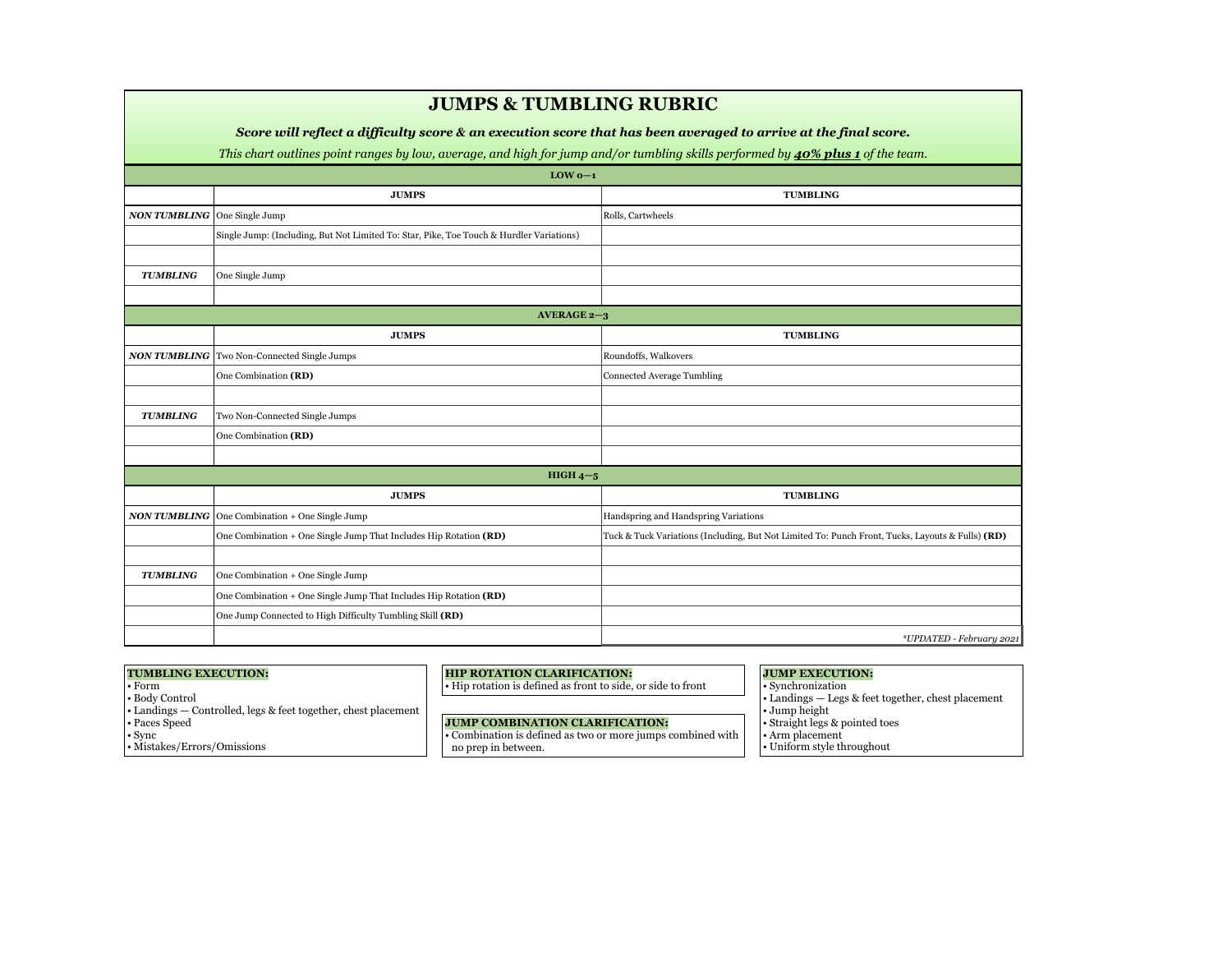|                                     | <b>JUMPS &amp; TUMBLING RUBRIC</b>                                                                                                                                                                                                                 |                                                                                                  |  |  |  |  |
|-------------------------------------|----------------------------------------------------------------------------------------------------------------------------------------------------------------------------------------------------------------------------------------------------|--------------------------------------------------------------------------------------------------|--|--|--|--|
|                                     |                                                                                                                                                                                                                                                    |                                                                                                  |  |  |  |  |
|                                     | Score will reflect a difficulty score & an execution score that has been averaged to arrive at the final score.<br>This chart outlines point ranges by low, average, and high for jump and/or tumbling skills performed by 40% plus 1 of the team. |                                                                                                  |  |  |  |  |
|                                     | $LOW 0-1$                                                                                                                                                                                                                                          |                                                                                                  |  |  |  |  |
|                                     | <b>JUMPS</b>                                                                                                                                                                                                                                       | <b>TUMBLING</b>                                                                                  |  |  |  |  |
| <b>NON TUMBLING</b> One Single Jump |                                                                                                                                                                                                                                                    | Rolls, Cartwheels                                                                                |  |  |  |  |
|                                     | Single Jump: (Including, But Not Limited To: Star, Pike, Toe Touch & Hurdler Variations)                                                                                                                                                           |                                                                                                  |  |  |  |  |
|                                     |                                                                                                                                                                                                                                                    |                                                                                                  |  |  |  |  |
| <b>TUMBLING</b>                     | One Single Jump                                                                                                                                                                                                                                    |                                                                                                  |  |  |  |  |
|                                     |                                                                                                                                                                                                                                                    |                                                                                                  |  |  |  |  |
|                                     | AVERAGE $2-3$                                                                                                                                                                                                                                      |                                                                                                  |  |  |  |  |
|                                     | <b>JUMPS</b>                                                                                                                                                                                                                                       | <b>TUMBLING</b>                                                                                  |  |  |  |  |
|                                     | <b>NON TUMBLING</b> Two Non-Connected Single Jumps                                                                                                                                                                                                 | Roundoffs, Walkovers                                                                             |  |  |  |  |
|                                     | One Combination (RD)                                                                                                                                                                                                                               | Connected Average Tumbling                                                                       |  |  |  |  |
|                                     |                                                                                                                                                                                                                                                    |                                                                                                  |  |  |  |  |
| <b>TUMBLING</b>                     | Two Non-Connected Single Jumps                                                                                                                                                                                                                     |                                                                                                  |  |  |  |  |
|                                     | One Combination (RD)                                                                                                                                                                                                                               |                                                                                                  |  |  |  |  |
|                                     |                                                                                                                                                                                                                                                    |                                                                                                  |  |  |  |  |
|                                     | HIGH $4-5$                                                                                                                                                                                                                                         |                                                                                                  |  |  |  |  |
|                                     | <b>JUMPS</b>                                                                                                                                                                                                                                       | <b>TUMBLING</b>                                                                                  |  |  |  |  |
|                                     | <b>NON TUMBLING</b> $ $ One Combination + One Single Jump                                                                                                                                                                                          | Handspring and Handspring Variations                                                             |  |  |  |  |
|                                     | One Combination + One Single Jump That Includes Hip Rotation (RD)                                                                                                                                                                                  | Tuck & Tuck Variations (Including, But Not Limited To: Punch Front, Tucks, Layouts & Fulls) (RD) |  |  |  |  |
|                                     |                                                                                                                                                                                                                                                    |                                                                                                  |  |  |  |  |
| <b>TUMBLING</b>                     | One Combination + One Single Jump                                                                                                                                                                                                                  |                                                                                                  |  |  |  |  |
|                                     | One Combination + One Single Jump That Includes Hip Rotation (RD)                                                                                                                                                                                  |                                                                                                  |  |  |  |  |
|                                     | One Jump Connected to High Difficulty Tumbling Skill (RD)                                                                                                                                                                                          |                                                                                                  |  |  |  |  |
|                                     |                                                                                                                                                                                                                                                    | *UPDATED - February 2021                                                                         |  |  |  |  |
|                                     |                                                                                                                                                                                                                                                    |                                                                                                  |  |  |  |  |

### **TUMBLING EXECUTION:**

- Form
- Body Control
- Landings Controlled, legs & feet together, chest placement
- Paces Speed
- Sync
- Mistakes/Errors/Omissions

### **HIP ROTATION CLARIFICATION:**

• Hip rotation is defined as front to side, or side to front

### **JUMP COMBINATION CLARIFICATION:**

• Combination is defined as two or more jumps combined with no prep in between.

**JUMP EXECUTION:**  • Synchronization

- Landings Legs & feet together, chest placement
- Jump height • Straight legs & pointed toes
- Arm placement
- Uniform style throughout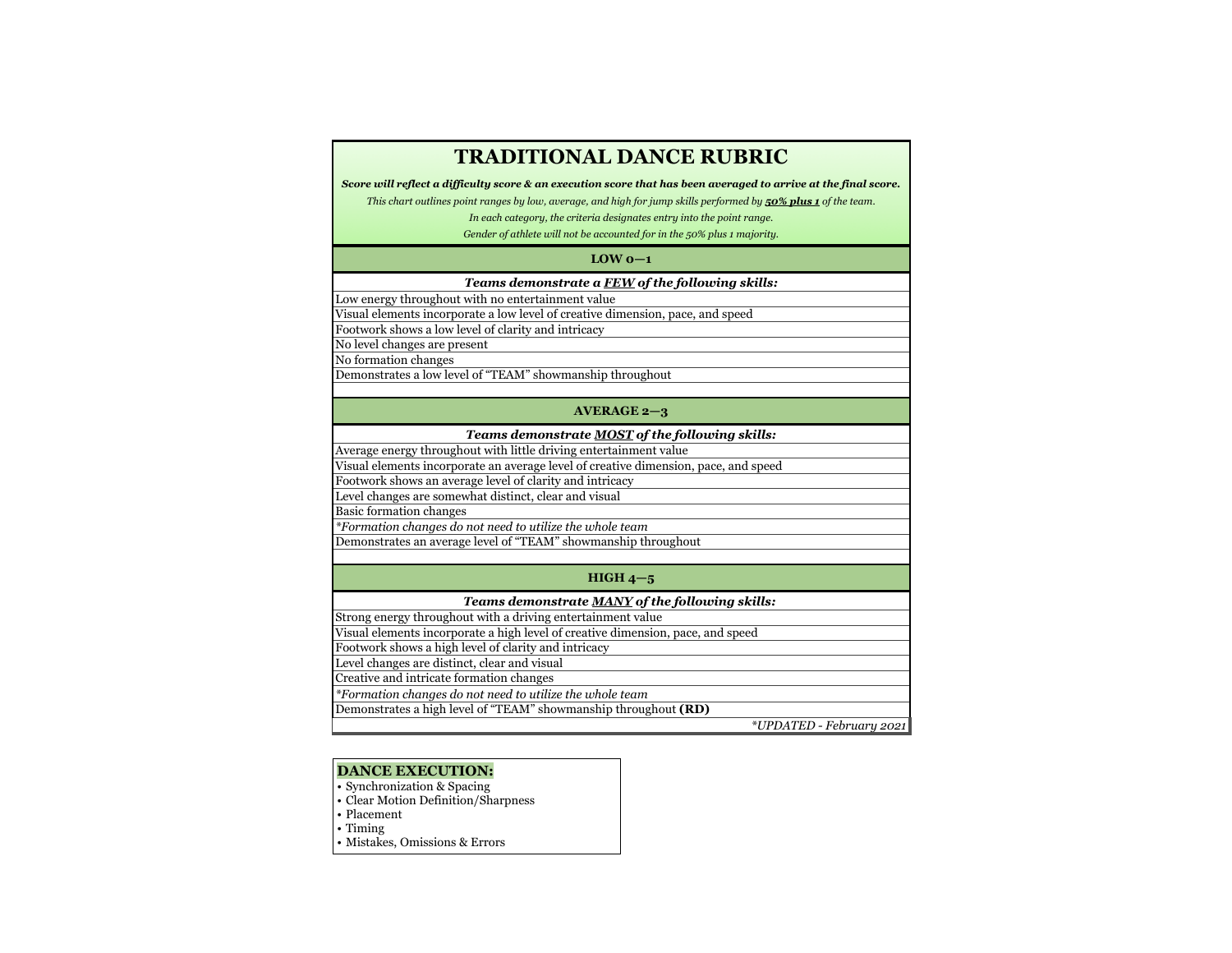### **LOW 0—1**

### *Teams demonstrate a FEW of the following skills:*

Low energy throughout with no entertainment value

Visual elements incorporate a low level of creative dimension, pace, and speed Footwork shows a low level of clarity and intricacy

No level changes are present

No formation changes

Demonstrates a low level of "TEAM" showmanship throughout

### **AVERAGE 2—3**

### *Teams demonstrate MOST of the following skills:*

Average energy throughout with little driving entertainment value

Visual elements incorporate an average level of creative dimension, pace, and speed

Footwork shows an average level of clarity and intricacy

Level changes are somewhat distinct, clear and visual

Basic formation changes

*\*Formation changes do not need to utilize the whole team* 

Demonstrates an average level of "TEAM" showmanship throughout

### **HIGH 4—5**

### *Teams demonstrate MANY of the following skills:*

Strong energy throughout with a driving entertainment value

Visual elements incorporate a high level of creative dimension, pace, and speed

Footwork shows a high level of clarity and intricacy

Level changes are distinct, clear and visual

Creative and intricate formation changes

*\*Formation changes do not need to utilize the whole team* 

Demonstrates a high level of "TEAM" showmanship throughout **(RD)**

*\*UPDATED - February 2021*

# **TRADITIONAL DANCE RUBRIC**

*Score will reflect a difficulty score & an execution score that has been averaged to arrive at the final score.* 

*This chart outlines point ranges by low, average, and high for jump skills performed by 50% plus 1 of the team.* 

*In each category, the criteria designates entry into the point range.* 

*Gender of athlete will not be accounted for in the 50% plus 1 majority.*

### **DANCE EXECUTION:**

- Synchronization & Spacing
- Clear Motion Definition/Sharpness
- Placement
- Timing
- Mistakes, Omissions & Errors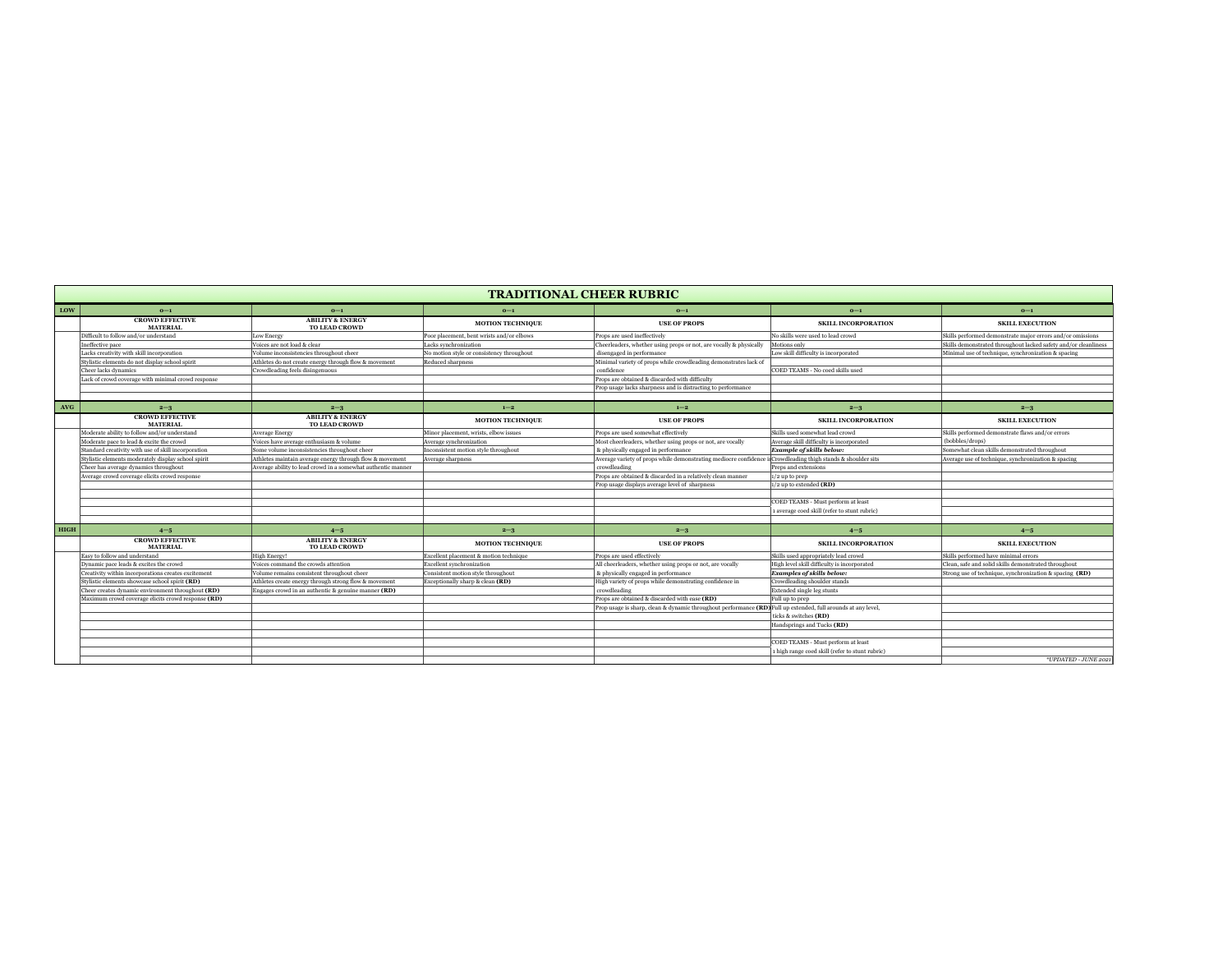|             | <b>TRADITIONAL CHEER RUBRIC</b>                     |                                                              |                                           |                                                                                                                          |                                                 |                                                                 |
|-------------|-----------------------------------------------------|--------------------------------------------------------------|-------------------------------------------|--------------------------------------------------------------------------------------------------------------------------|-------------------------------------------------|-----------------------------------------------------------------|
| LOW         | $0-1$                                               | $0-1$                                                        | $0-1$                                     | $0-1$                                                                                                                    | $0-1$                                           | $0-1$                                                           |
|             | <b>CROWD EFFECTIVE</b><br><b>MATERIAL</b>           | <b>ABILITY &amp; ENERGY</b><br><b>TO LEAD CROWD</b>          | <b>MOTION TECHNIQUE</b>                   | <b>USE OF PROPS</b>                                                                                                      | <b>SKILL INCORPORATION</b>                      | <b>SKILL EXECUTION</b>                                          |
|             | Difficult to follow and/or understand               | Low Energy                                                   | Poor placement, bent wrists and/or elbows | Props are used ineffectively                                                                                             | No skills were used to lead crowd               | Skills performed demonstrate major errors and/or omissions      |
|             | Ineffective pace                                    | Voices are not load & clear                                  | Lacks synchronization                     | Cheerleaders, whether using props or not, are vocally & physically                                                       | Motions only                                    | Skills demonstrated throughout lacked safety and/or cleanliness |
|             | Lacks creativity with skill incorporation           | Volume inconsistencies throughout cheer                      | No motion style or consistency throughout | disengaged in performance                                                                                                | Low skill difficulty is incorporated            | Minimal use of technique, synchronization & spacing             |
|             | Stylistic elements do not display school spirit     | Athletes do not create energy through flow & movement        | <b>Reduced sharpness</b>                  | Minimal variety of props while crowdleading demonstrates lack of                                                         |                                                 |                                                                 |
|             | Cheer lacks dynamics                                | Crowdleading feels disingenuous                              |                                           | confidence                                                                                                               | COED TEAMS - No coed skills used                |                                                                 |
|             | Lack of crowd coverage with minimal crowd response  |                                                              |                                           | Props are obtained & discarded with difficulty                                                                           |                                                 |                                                                 |
|             |                                                     |                                                              |                                           | Prop usage lacks sharpness and is distracting to performance                                                             |                                                 |                                                                 |
|             |                                                     |                                                              |                                           |                                                                                                                          |                                                 |                                                                 |
| <b>AVG</b>  | $2 - 3$                                             | $2 - 3$                                                      | $1 - 2$                                   | $1 - 2$                                                                                                                  | $2 - 3$                                         | $2 - 3$                                                         |
|             | <b>CROWD EFFECTIVE</b><br><b>MATERIAL</b>           | <b>ABILITY &amp; ENERGY</b><br><b>TO LEAD CROWD</b>          | <b>MOTION TECHNIQUE</b>                   | <b>USE OF PROPS</b>                                                                                                      | <b>SKILL INCORPORATION</b>                      | <b>SKILL EXECUTION</b>                                          |
|             | Moderate ability to follow and/or understand        | Average Energy                                               | Minor placement, wrists, elbow issues     | Props are used somewhat effectively                                                                                      | Skills used somewhat lead crowd                 | Skills performed demonstrate flaws and/or errors                |
|             | Moderate pace to lead & excite the crowd            | Voices have average enthusiasm & volume                      | Average synchronization                   | Most cheerleaders, whether using props or not, are vocally                                                               | Average skill difficulty is incorporated        | (bobbles/drops)                                                 |
|             | Standard creativity with use of skill incorporation | Some volume inconsistencies throughout cheer                 | Inconsistent motion style throughout      | & physically engaged in performance                                                                                      | $\vert$ Example of skills below:                | Somewhat clean skills demonstrated throughout                   |
|             | Stylistic elements moderately display school spirit | Athletes maintain average energy through flow & movement     | Average sharpness                         | Average variety of props while demonstrating mediocre confidence                                                         | i Crowdleading thigh stands & shoulder sits     | Average use of technique, synchronization & spacing             |
|             | Cheer has average dynamics throughout               | Average ability to lead crowd in a somewhat authentic manner |                                           | crowdleading                                                                                                             | <b>Preps and extensions</b>                     |                                                                 |
|             | Average crowd coverage elicits crowd response       |                                                              |                                           | Props are obtained & discarded in a relatively clean manner                                                              | $ 1/2$ up to prep                               |                                                                 |
|             |                                                     |                                                              |                                           | Prop usage displays average level of sharpness                                                                           | $ 1/2$ up to extended <b>(RD)</b>               |                                                                 |
|             |                                                     |                                                              |                                           |                                                                                                                          |                                                 |                                                                 |
|             |                                                     |                                                              |                                           |                                                                                                                          | COED TEAMS - Must perform at least              |                                                                 |
|             |                                                     |                                                              |                                           |                                                                                                                          | 1 average coed skill (refer to stunt rubric)    |                                                                 |
|             |                                                     |                                                              |                                           |                                                                                                                          |                                                 |                                                                 |
| <b>HIGH</b> | $4 - 5$                                             | $4 - 5$                                                      | $2 - 3$                                   | $2 - 3$                                                                                                                  | $4 - 5$                                         | $4 - 5$                                                         |
|             | <b>CROWD EFFECTIVE</b><br><b>MATERIAL</b>           | <b>ABILITY &amp; ENERGY</b><br><b>TO LEAD CROWD</b>          | <b>MOTION TECHNIQUE</b>                   | <b>USE OF PROPS</b>                                                                                                      | <b>SKILL INCORPORATION</b>                      | <b>SKILL EXECUTION</b>                                          |
|             | Easy to follow and understand                       | High Energy!                                                 | Excellent placement & motion technique    | Props are used effectively                                                                                               | Skills used appropriately lead crowd            | Skills performed have minimal errors                            |
|             | Dynamic pace leads & excites the crowd              | Voices command the crowds attention                          | <b>Excellent synchronization</b>          | All cheerleaders, whether using props or not, are vocally                                                                | High level skill difficulty is incorporated     | Clean, safe and solid skills demonstrated throughout            |
|             | Creativity within incorporations creates excitement | Volume remains consistent throughout cheer                   | Consistent motion style throughout        | & physically engaged in performance                                                                                      | <b>Examples of skills below:</b>                | Strong use of technique, synchronization $\&$ spacing $(RD)$    |
|             | Stylistic elements showcase school spirit (RD)      | Athletes create energy through strong flow & movement        | Exceptionally sharp & clean (RD)          | High variety of props while demonstrating confidence in                                                                  | Crowdleading shoulder stands                    |                                                                 |
|             | Cheer creates dynamic environment throughout (RD)   | Engages crowd in an authentic $\&$ genuine manner $(RD)$     |                                           | crowdleading                                                                                                             | <b>Extended single leg stunts</b>               |                                                                 |
|             | Maximum crowd coverage elicits crowd response (RD)  |                                                              |                                           | Props are obtained & discarded with ease (RD)                                                                            | <b>Full up to prep</b>                          |                                                                 |
|             |                                                     |                                                              |                                           | Prop usage is sharp, clean & dynamic throughout performance $(\mathbf{RD})$ Full up extended, full arounds at any level, |                                                 |                                                                 |
|             |                                                     |                                                              |                                           |                                                                                                                          | ticks & switches (RD)                           |                                                                 |
|             |                                                     |                                                              |                                           |                                                                                                                          | Handsprings and Tucks (RD)                      |                                                                 |
|             |                                                     |                                                              |                                           |                                                                                                                          |                                                 |                                                                 |
|             |                                                     |                                                              |                                           |                                                                                                                          | COED TEAMS - Must perform at least              |                                                                 |
|             |                                                     |                                                              |                                           |                                                                                                                          | 1 high range coed skill (refer to stunt rubric) |                                                                 |
|             |                                                     |                                                              |                                           |                                                                                                                          |                                                 | *UPDATED - JUNE 2021                                            |
|             |                                                     |                                                              |                                           |                                                                                                                          |                                                 |                                                                 |